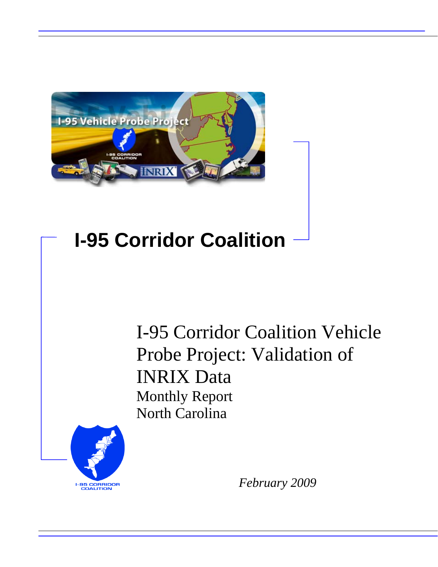

# **I-95 Corridor Coalition**

I-95 Corridor Coalition Vehicle Probe Project: Validation of INRIX Data Monthly Report North Carolina



*February 2009*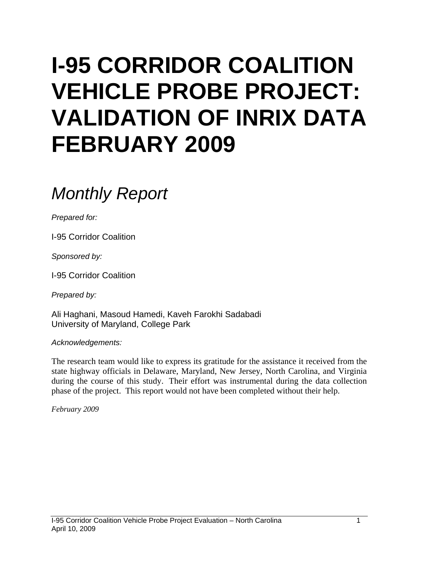# **I-95 CORRIDOR COALITION VEHICLE PROBE PROJECT: VALIDATION OF INRIX DATA FEBRUARY 2009**

# *Monthly Report*

*Prepared for:* 

I-95 Corridor Coalition

*Sponsored by:* 

I-95 Corridor Coalition

*Prepared by:* 

Ali Haghani, Masoud Hamedi, Kaveh Farokhi Sadabadi University of Maryland, College Park

*Acknowledgements:* 

The research team would like to express its gratitude for the assistance it received from the state highway officials in Delaware, Maryland, New Jersey, North Carolina, and Virginia during the course of this study. Their effort was instrumental during the data collection phase of the project. This report would not have been completed without their help.

*February 2009*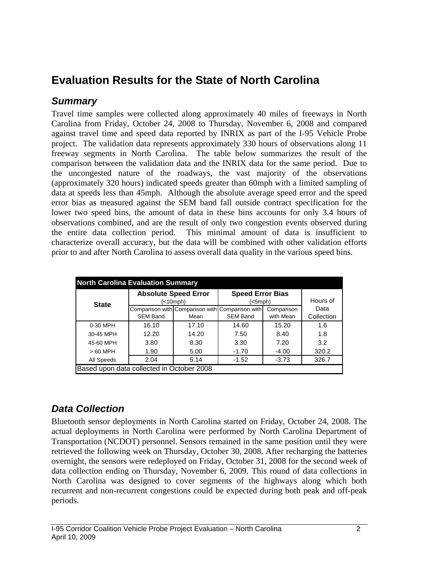# **Evaluation Results for the State of North Carolina**

### *Summary*

Travel time samples were collected along approximately 40 miles of freeways in North Carolina from Friday, October 24, 2008 to Thursday, November 6, 2008 and compared against travel time and speed data reported by INRIX as part of the I-95 Vehicle Probe project. The validation data represents approximately 330 hours of observations along 11 freeway segments in North Carolina. The table below summarizes the result of the comparison between the validation data and the INRIX data for the same period. Due to the uncongested nature of the roadways, the vast majority of the observations (approximately 320 hours) indicated speeds greater than 60mph with a limited sampling of data at speeds less than 45mph. Although the absolute average speed error and the speed error bias as measured against the SEM band fall outside contract specification for the lower two speed bins, the amount of data in these bins accounts for only 3.4 hours of observations combined, and are the result of only two congestion events observed during the entire data collection period. This minimal amount of data is insufficient to characterize overall accuracy, but the data will be combined with other validation efforts prior to and after North Carolina to assess overall data quality in the various speed bins.

| <b>North Carolina Evaluation Summary</b>  |                             |          |                                                                    |                         |            |  |  |  |  |  |
|-------------------------------------------|-----------------------------|----------|--------------------------------------------------------------------|-------------------------|------------|--|--|--|--|--|
| <b>State</b>                              | <b>Absolute Speed Error</b> | (<10mph) | <b>Speed Error Bias</b><br>$(<5$ mph $)$                           | Hours of                |            |  |  |  |  |  |
|                                           | <b>SEM Band</b>             |          | Comparison with Comparison with Comparison with<br><b>SEM Band</b> | Comparison<br>with Mean | Data       |  |  |  |  |  |
|                                           |                             | Mean     |                                                                    |                         | Collection |  |  |  |  |  |
| 0-30 MPH                                  | 16.10                       | 17.10    | 14.60                                                              | 15.20                   | 1.6        |  |  |  |  |  |
| 30-45 MPH                                 | 12.20                       | 14.20    | 7.50                                                               | 8.40                    | 1.8        |  |  |  |  |  |
| 45-60 MPH                                 | 3.80                        | 8.30     | 3.30                                                               | 7.20                    | 3.2        |  |  |  |  |  |
| $>60$ MPH                                 | 1.90                        | 5.00     | $-1.70$                                                            | $-4.00$                 | 320.2      |  |  |  |  |  |
| All Speeds                                | 2.04                        | 5.14     | $-1.52$                                                            | $-3.73$                 | 326.7      |  |  |  |  |  |
| Based upon data collected in October 2008 |                             |          |                                                                    |                         |            |  |  |  |  |  |

## *Data Collection*

Bluetooth sensor deployments in North Carolina started on Friday, October 24, 2008. The actual deployments in North Carolina were performed by North Carolina Department of Transportation (NCDOT) personnel. Sensors remained in the same position until they were retrieved the following week on Thursday, October 30, 2008. After recharging the batteries overnight, the sensors were redeployed on Friday, October 31, 2008 for the second week of data collection ending on Thursday, November 6, 2009. This round of data collections in North Carolina was designed to cover segments of the highways along which both recurrent and non-recurrent congestions could be expected during both peak and off-peak periods.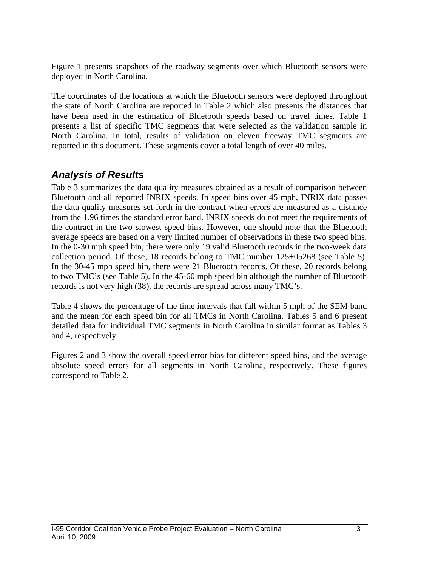Figure 1 presents snapshots of the roadway segments over which Bluetooth sensors were deployed in North Carolina.

The coordinates of the locations at which the Bluetooth sensors were deployed throughout the state of North Carolina are reported in Table 2 which also presents the distances that have been used in the estimation of Bluetooth speeds based on travel times. Table 1 presents a list of specific TMC segments that were selected as the validation sample in North Carolina. In total, results of validation on eleven freeway TMC segments are reported in this document. These segments cover a total length of over 40 miles.

### *Analysis of Results*

Table 3 summarizes the data quality measures obtained as a result of comparison between Bluetooth and all reported INRIX speeds. In speed bins over 45 mph, INRIX data passes the data quality measures set forth in the contract when errors are measured as a distance from the 1.96 times the standard error band. INRIX speeds do not meet the requirements of the contract in the two slowest speed bins. However, one should note that the Bluetooth average speeds are based on a very limited number of observations in these two speed bins. In the 0-30 mph speed bin, there were only 19 valid Bluetooth records in the two-week data collection period. Of these, 18 records belong to TMC number 125+05268 (see Table 5). In the 30-45 mph speed bin, there were 21 Bluetooth records. Of these, 20 records belong to two TMC's (see Table 5). In the 45-60 mph speed bin although the number of Bluetooth records is not very high (38), the records are spread across many TMC's.

Table 4 shows the percentage of the time intervals that fall within 5 mph of the SEM band and the mean for each speed bin for all TMCs in North Carolina. Tables 5 and 6 present detailed data for individual TMC segments in North Carolina in similar format as Tables 3 and 4, respectively.

Figures 2 and 3 show the overall speed error bias for different speed bins, and the average absolute speed errors for all segments in North Carolina, respectively. These figures correspond to Table 2.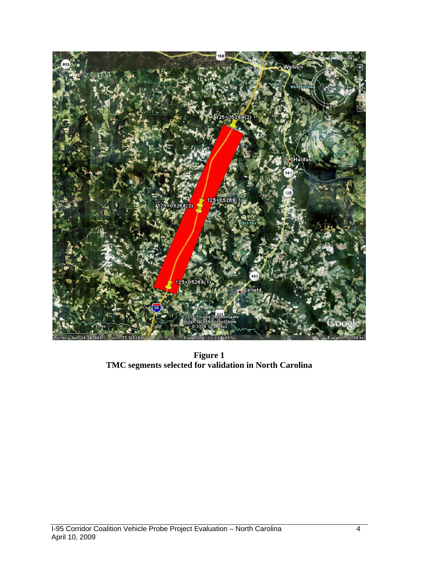

**Figure 1 TMC segments selected for validation in North Carolina**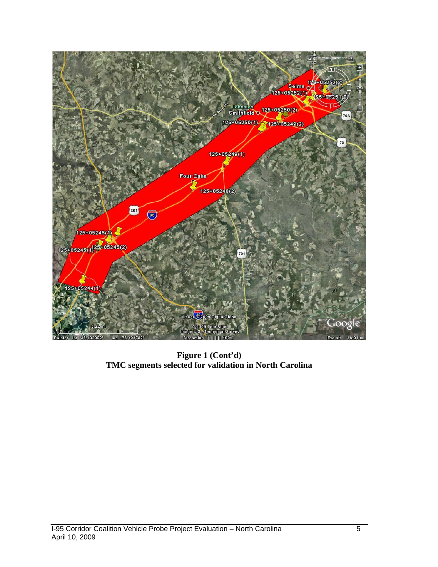

**Figure 1 (Cont'd) TMC segments selected for validation in North Carolina**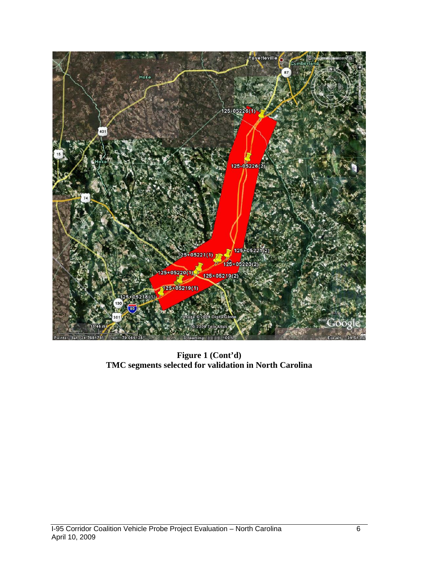

**Figure 1 (Cont'd) TMC segments selected for validation in North Carolina**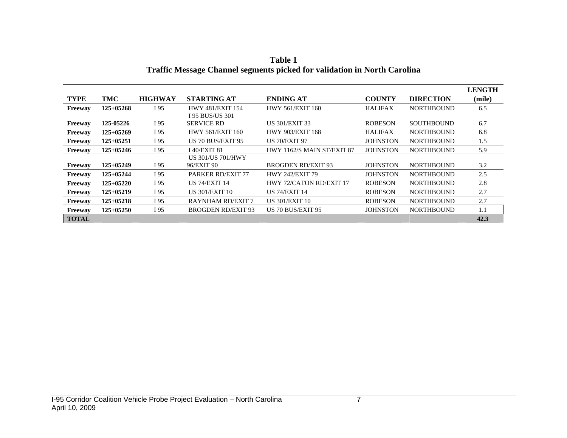|              |             |                |                           |                            |                 |                   | <b>LENGTH</b> |
|--------------|-------------|----------------|---------------------------|----------------------------|-----------------|-------------------|---------------|
| <b>TYPE</b>  | TMC         | <b>HIGHWAY</b> | <b>STARTING AT</b>        | <b>ENDING AT</b>           | <b>COUNTY</b>   | <b>DIRECTION</b>  | (mile)        |
| Freeway      | $125+05268$ | I 95           | <b>HWY 481/EXIT 154</b>   | <b>HWY 561/EXIT 160</b>    | <b>HALIFAX</b>  | <b>NORTHBOUND</b> | 6.5           |
|              |             |                | <b>I 95 BUS/US 301</b>    |                            |                 |                   |               |
| Freeway      | 125-05226   | I 95           | <b>SERVICE RD</b>         | <b>US 301/EXIT 33</b>      | <b>ROBESON</b>  | <b>SOUTHBOUND</b> | 6.7           |
| Freeway      | $125+05269$ | I 95           | <b>HWY 561/EXIT 160</b>   | HWY 903/EXIT 168           | <b>HALIFAX</b>  | <b>NORTHBOUND</b> | 6.8           |
| Freeway      | $125+05251$ | I 95           | US 70 BUS/EXIT 95         | <b>US 70/EXIT 97</b>       | <b>JOHNSTON</b> | <b>NORTHBOUND</b> | 1.5           |
| Freeway      | $125+05246$ | I 95           | I 40/EXIT 81              | HWY 1162/S MAIN ST/EXIT 87 | <b>JOHNSTON</b> | <b>NORTHBOUND</b> | 5.9           |
|              |             |                | US 301/US 701/HWY         |                            |                 |                   |               |
| Freeway      | $125+05249$ | I 95           | 96/EXIT 90                | <b>BROGDEN RD/EXIT 93</b>  | <b>JOHNSTON</b> | <b>NORTHBOUND</b> | 3.2           |
| Freeway      | $125+05244$ | I 95           | <b>PARKER RD/EXIT 77</b>  | <b>HWY 242/EXIT 79</b>     | <b>JOHNSTON</b> | <b>NORTHBOUND</b> | 2.5           |
| Freeway      | $125+05220$ | I 95           | US 74/EXIT 14             | HWY 72/CATON RD/EXIT 17    | <b>ROBESON</b>  | <b>NORTHBOUND</b> | 2.8           |
| Freeway      | 125+05219   | I 95           | <b>US 301/EXIT 10</b>     | <b>US 74/EXIT 14</b>       | <b>ROBESON</b>  | <b>NORTHBOUND</b> | 2.7           |
| Freeway      | $125+05218$ | I 95           | <b>RAYNHAM RD/EXIT 7</b>  | US 301/EXIT 10             | <b>ROBESON</b>  | <b>NORTHBOUND</b> | 2.7           |
| Freeway      | $125+05250$ | I 95           | <b>BROGDEN RD/EXIT 93</b> | US 70 BUS/EXIT 95          | <b>JOHNSTON</b> | <b>NORTHBOUND</b> | 1.1           |
| <b>TOTAL</b> |             |                |                           |                            |                 |                   | 42.3          |

**Table 1 Traffic Message Channel segments picked for validation in North Carolina**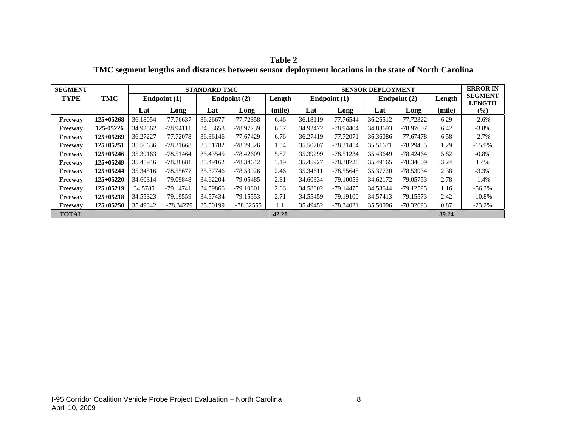| Table 2                                                                                              |
|------------------------------------------------------------------------------------------------------|
| TMC segment lengths and distances between sensor deployment locations in the state of North Carolina |

| <b>SEGMENT</b> |             |          | <b>STANDARD TMC</b> |          |                |        |          | <b>SENSOR DEPLOYMENT</b> |          |              |        |                                 |
|----------------|-------------|----------|---------------------|----------|----------------|--------|----------|--------------------------|----------|--------------|--------|---------------------------------|
| <b>TYPE</b>    | <b>TMC</b>  |          | Endpoint (1)        |          | Endpoint $(2)$ | Length |          | Endpoint (1)             |          | Endpoint (2) |        | <b>SEGMENT</b><br><b>LENGTH</b> |
|                |             | Lat      | Long                | Lat      | Long           | (mile) | Lat      | Long                     | Lat      | Long         | (mile) | $(\%)$                          |
| Freeway        | $125+05268$ | 36.18054 | $-77.76637$         | 36.26677 | $-77.72358$    | 6.46   | 36.18119 | $-77.76544$              | 36.26512 | $-77.72322$  | 6.29   | $-2.6%$                         |
| Freeway        | 125-05226   | 34.92562 | $-78.94111$         | 34.83658 | -78.97739      | 6.67   | 34.92472 | -78.94404                | 34.83693 | -78.97607    | 6.42   | $-3.8\%$                        |
| Freeway        | $125+05269$ | 36.27227 | -77.72078           | 36.36146 | $-77.67429$    | 6.76   | 36.27419 | $-77.72071$              | 36.36086 | $-77.67478$  | 6.58   | $-2.7%$                         |
| Freeway        | 125+05251   | 35.50636 | $-78.31668$         | 35.51782 | -78.29326      | 1.54   | 35.50707 | -78.31454                | 35.51671 | $-78.29485$  | 1.29   | $-15.9\%$                       |
| Freeway        | $125+05246$ | 35.39163 | $-78.51464$         | 35.43545 | $-78.42609$    | 5.87   | 35.39299 | $-78.51234$              | 35.43649 | $-78.42464$  | 5.82   | $-0.8\%$                        |
| Freeway        | $125+05249$ | 35.45946 | -78.38681           | 35.49162 | $-78.34642$    | 3.19   | 35.45927 | -78.38726                | 35.49165 | -78.34609    | 3.24   | 1.4%                            |
| Freeway        | $125+05244$ | 35.34516 | $-78.55677$         | 35.37746 | -78.53926      | 2.46   | 35.34611 | $-78.55648$              | 35.37720 | -78.53934    | 2.38   | $-3.3\%$                        |
| Freeway        | $125+05220$ | 34.60314 | $-79.09848$         | 34.62204 | $-79.05485$    | 2.81   | 34.60334 | $-79.10053$              | 34.62172 | $-79.05753$  | 2.78   | $-1.4%$                         |
| Freeway        | $125+05219$ | 34.5785  | $-79.14741$         | 34.59866 | $-79.10801$    | 2.66   | 34.58002 | $-79.14475$              | 34.58644 | $-79.12595$  | 1.16   | $-56.3\%$                       |
| Freeway        | $125+05218$ | 34.55323 | $-79.19559$         | 34.57434 | $-79.15553$    | 2.71   | 34.55459 | $-79.19100$              | 34.57413 | $-79.15573$  | 2.42   | $-10.8\%$                       |
| Freeway        | $125+05250$ | 35.49342 | -78.34279           | 35.50199 | $-78.32555$    | 1.1    | 35.49452 | $-78.34021$              | 35.50096 | -78.32693    | 0.87   | $-23.2%$                        |
| <b>TOTAL</b>   |             |          |                     |          |                | 42.28  |          |                          |          |              | 39.24  |                                 |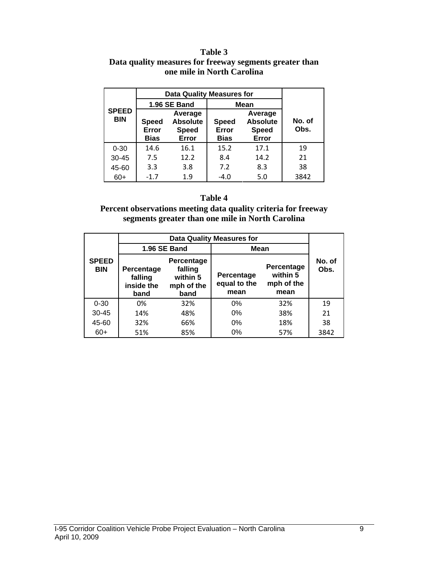#### **Table 3 Data quality measures for freeway segments greater than one mile in North Carolina**

|                            | Data Quality Measures for     |                                                     |                                      |                                                     |                |
|----------------------------|-------------------------------|-----------------------------------------------------|--------------------------------------|-----------------------------------------------------|----------------|
|                            |                               | <b>1.96 SE Band</b>                                 | <b>Mean</b>                          |                                                     |                |
| <b>SPEED</b><br><b>BIN</b> | <b>Speed</b><br>Error<br>Bias | Average<br><b>Absolute</b><br><b>Speed</b><br>Error | <b>Speed</b><br>Error<br><b>Bias</b> | Average<br><b>Absolute</b><br><b>Speed</b><br>Error | No. of<br>Obs. |
| $0 - 30$                   | 14.6                          | 16.1                                                | 15.2                                 | 17.1                                                | 19             |
| $30 - 45$                  | 7.5                           | 12.2                                                | 8.4                                  | 14.2                                                | 21             |
| 45-60                      | 3.3                           | 3.8                                                 | 7.2                                  | 8.3                                                 | 38             |
| $60+$                      | $-1.7$                        | 1.9                                                 | $-4.0$                               | 5.0                                                 | 3842           |

#### **Table 4**

**Percent observations meeting data quality criteria for freeway segments greater than one mile in North Carolina** 

|                            |                                                                                                               | 1.96 SE Band | Mean                               |                                              |                |  |
|----------------------------|---------------------------------------------------------------------------------------------------------------|--------------|------------------------------------|----------------------------------------------|----------------|--|
| <b>SPEED</b><br><b>BIN</b> | Percentage<br>falling<br><b>Percentage</b><br>within 5<br>falling<br>inside the<br>mph of the<br>band<br>band |              | Percentage<br>equal to the<br>mean | Percentage<br>within 5<br>mph of the<br>mean | No. of<br>Obs. |  |
| $0 - 30$                   | 0%                                                                                                            | 32%          | 0%                                 | 32%                                          | 19             |  |
| $30 - 45$                  | 14%                                                                                                           | 48%          | 0%                                 | 38%                                          | 21             |  |
| 45-60                      | 32%                                                                                                           | 66%          | 0%                                 | 18%                                          | 38             |  |
| $60+$                      | 51%                                                                                                           | 85%          | $0\%$                              | 57%                                          | 3842           |  |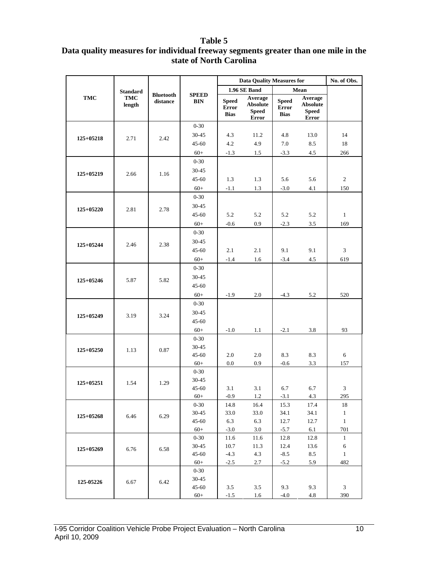#### **Table 5**

#### **Data quality measures for individual freeway segments greater than one mile in the state of North Carolina**

|             |                      |                              |                            |                                      |                                                     | No. of Obs.                                                                                                                                                                                                                                                                                                                                                              |                                                     |                |
|-------------|----------------------|------------------------------|----------------------------|--------------------------------------|-----------------------------------------------------|--------------------------------------------------------------------------------------------------------------------------------------------------------------------------------------------------------------------------------------------------------------------------------------------------------------------------------------------------------------------------|-----------------------------------------------------|----------------|
|             | <b>Standard</b>      |                              |                            |                                      | 1.96 SE Band                                        |                                                                                                                                                                                                                                                                                                                                                                          |                                                     |                |
| <b>TMC</b>  | <b>TMC</b><br>length | <b>Bluetooth</b><br>distance | <b>SPEED</b><br><b>BIN</b> | <b>Speed</b><br>Error<br><b>Bias</b> | Average<br><b>Absolute</b><br><b>Speed</b><br>Error | <b>Speed</b><br><b>Error</b><br><b>Bias</b>                                                                                                                                                                                                                                                                                                                              | Average<br><b>Absolute</b><br><b>Speed</b><br>Error |                |
|             |                      |                              | $0 - 30$                   |                                      |                                                     |                                                                                                                                                                                                                                                                                                                                                                          |                                                     |                |
| $125+05218$ | 2.71                 | 2.42                         | 30-45                      | 4.3                                  | 11.2                                                | 4.8                                                                                                                                                                                                                                                                                                                                                                      | 13.0                                                | 14             |
|             |                      |                              | $45 - 60$                  | 4.2                                  | 4.9                                                 | $7.0\,$                                                                                                                                                                                                                                                                                                                                                                  | 8.5                                                 | 18             |
|             |                      |                              | $60+$                      | $-1.3$                               | 1.5                                                 | $-3.3$                                                                                                                                                                                                                                                                                                                                                                   | 4.5                                                 | 266            |
|             |                      |                              | $0 - 30$                   |                                      |                                                     |                                                                                                                                                                                                                                                                                                                                                                          |                                                     |                |
| 125+05219   | 2.66                 | 1.16                         | $30 - 45$                  |                                      |                                                     |                                                                                                                                                                                                                                                                                                                                                                          |                                                     |                |
|             |                      |                              | $45 - 60$                  | 1.3                                  | 1.3                                                 | <b>Data Quality Measures for</b><br>Mean<br>5.6<br>5.6<br>4.1<br>$-3.0$<br>5.2<br>5.2<br>$-2.3$<br>3.5<br>9.1<br>9.1<br>$-3.4$<br>4.5<br>$-4.3$<br>5.2<br>$-2.1$<br>3.8<br>8.3<br>8.3<br>$-0.6$<br>3.3<br>6.7<br>6.7<br>$-3.1$<br>4.3<br>15.3<br>17.4<br>34.1<br>34.1<br>12.7<br>12.7<br>$-5.7$<br>6.1<br>12.8<br>12.8<br>12.4<br>13.6<br>$-8.5$<br>8.5<br>$-5.2$<br>5.9 | $\sqrt{2}$                                          |                |
|             |                      |                              | $60+$                      | $-1.1$                               | 1.3                                                 |                                                                                                                                                                                                                                                                                                                                                                          |                                                     | 150            |
|             |                      |                              | $0 - 30$                   |                                      |                                                     |                                                                                                                                                                                                                                                                                                                                                                          |                                                     |                |
| 125+05220   | 2.81                 | 2.78                         | 30-45                      |                                      |                                                     |                                                                                                                                                                                                                                                                                                                                                                          |                                                     |                |
|             |                      |                              | $45 - 60$                  | 5.2                                  | 5.2                                                 |                                                                                                                                                                                                                                                                                                                                                                          |                                                     | $\mathbf{1}$   |
|             |                      |                              | $60+$                      | $-0.6$                               | 0.9                                                 |                                                                                                                                                                                                                                                                                                                                                                          |                                                     | 169            |
|             |                      |                              | $0 - 30$                   |                                      |                                                     |                                                                                                                                                                                                                                                                                                                                                                          |                                                     |                |
|             |                      |                              | $30 - 45$                  |                                      |                                                     |                                                                                                                                                                                                                                                                                                                                                                          |                                                     |                |
| 125+05244   | 2.46                 | 2.38                         | $45 - 60$                  | 2.1                                  | 2.1                                                 |                                                                                                                                                                                                                                                                                                                                                                          |                                                     | $\mathfrak z$  |
|             |                      |                              | $60+$                      | $-1.4$                               | 1.6                                                 |                                                                                                                                                                                                                                                                                                                                                                          |                                                     | 619            |
|             |                      |                              | $0 - 30$                   |                                      |                                                     |                                                                                                                                                                                                                                                                                                                                                                          |                                                     |                |
| $125+05246$ |                      |                              | $30 - 45$                  |                                      |                                                     |                                                                                                                                                                                                                                                                                                                                                                          |                                                     |                |
|             | 5.87                 | 5.82                         | $45 - 60$                  |                                      |                                                     |                                                                                                                                                                                                                                                                                                                                                                          |                                                     |                |
|             |                      |                              | $60+$                      | $-1.9$                               | 2.0                                                 |                                                                                                                                                                                                                                                                                                                                                                          |                                                     | 520            |
|             |                      |                              | $0 - 30$                   |                                      |                                                     |                                                                                                                                                                                                                                                                                                                                                                          |                                                     |                |
|             | 3.19                 |                              | 30-45                      |                                      |                                                     |                                                                                                                                                                                                                                                                                                                                                                          |                                                     |                |
| 125+05249   |                      | 3.24                         | $45 - 60$                  |                                      |                                                     |                                                                                                                                                                                                                                                                                                                                                                          |                                                     |                |
|             |                      |                              | $60+$                      | $-1.0$                               | 1.1                                                 |                                                                                                                                                                                                                                                                                                                                                                          |                                                     | 93             |
|             |                      |                              | $0 - 30$                   |                                      |                                                     |                                                                                                                                                                                                                                                                                                                                                                          |                                                     |                |
|             |                      |                              | 30-45                      |                                      |                                                     |                                                                                                                                                                                                                                                                                                                                                                          |                                                     |                |
| 125+05250   | 1.13                 | 0.87                         | $45 - 60$                  | 2.0                                  | 2.0                                                 |                                                                                                                                                                                                                                                                                                                                                                          |                                                     | $\sqrt{6}$     |
|             |                      |                              | $60+$                      | 0.0                                  | 0.9                                                 |                                                                                                                                                                                                                                                                                                                                                                          |                                                     | 157            |
|             |                      |                              | $0 - 30$                   |                                      |                                                     |                                                                                                                                                                                                                                                                                                                                                                          |                                                     |                |
| $125+05251$ | 1.54                 | 1.29                         | 30-45                      |                                      |                                                     |                                                                                                                                                                                                                                                                                                                                                                          |                                                     |                |
|             |                      |                              | $45 - 60$                  | 3.1                                  | 3.1                                                 |                                                                                                                                                                                                                                                                                                                                                                          |                                                     | $\mathfrak{Z}$ |
|             |                      |                              | $60+$                      | $-0.9$                               | $1.2\,$                                             |                                                                                                                                                                                                                                                                                                                                                                          |                                                     | 295            |
|             |                      |                              | $0 - 30$                   | 14.8                                 | 16.4                                                |                                                                                                                                                                                                                                                                                                                                                                          |                                                     | 18             |
| $125+05268$ | 6.46                 | 6.29                         | 30-45                      | 33.0                                 | 33.0                                                |                                                                                                                                                                                                                                                                                                                                                                          |                                                     | $\mathbf{1}$   |
|             |                      |                              | $45 - 60$                  | 6.3                                  | 6.3                                                 |                                                                                                                                                                                                                                                                                                                                                                          |                                                     | $\mathbf{1}$   |
|             |                      |                              | $60+$                      | $-3.0$                               | 3.0                                                 |                                                                                                                                                                                                                                                                                                                                                                          |                                                     | 701            |
| 125+05269   |                      |                              | $0 - 30$                   | 11.6                                 | 11.6                                                |                                                                                                                                                                                                                                                                                                                                                                          |                                                     | $\mathbf{1}$   |
|             | 6.76                 | 6.58                         | $30 - 45$                  | 10.7                                 | 11.3                                                |                                                                                                                                                                                                                                                                                                                                                                          |                                                     | 6              |
|             |                      |                              | $45 - 60$<br>$60+$         | $-4.3$                               | 4.3                                                 |                                                                                                                                                                                                                                                                                                                                                                          |                                                     | $\mathbf{1}$   |
|             |                      |                              | $0 - 30$                   | $-2.5$                               | 2.7                                                 |                                                                                                                                                                                                                                                                                                                                                                          |                                                     | 482            |
|             |                      |                              | 30-45                      |                                      |                                                     |                                                                                                                                                                                                                                                                                                                                                                          |                                                     |                |
| 125-05226   | 6.67                 | 6.42                         | $45 - 60$                  | 3.5                                  | 3.5                                                 | 9.3                                                                                                                                                                                                                                                                                                                                                                      | 9.3                                                 | $\mathfrak{Z}$ |
|             |                      |                              | $60+$                      | $-1.5$                               | 1.6                                                 | $-4.0$                                                                                                                                                                                                                                                                                                                                                                   | 4.8                                                 | 390            |
|             |                      |                              |                            |                                      |                                                     |                                                                                                                                                                                                                                                                                                                                                                          |                                                     |                |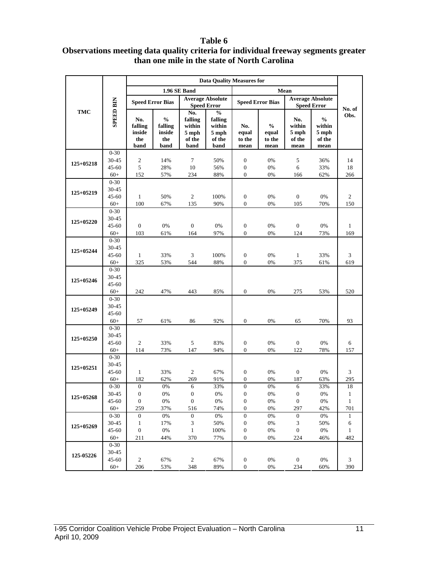#### **Table 6**

#### **Observations meeting data quality criteria for individual freeway segments greater than one mile in the state of North Carolina**

|             |                    |                                         |                                                   | <b>Data Quality Measures for</b>                    |                                                               |                                  |                                          |                                          |                                                    |                |
|-------------|--------------------|-----------------------------------------|---------------------------------------------------|-----------------------------------------------------|---------------------------------------------------------------|----------------------------------|------------------------------------------|------------------------------------------|----------------------------------------------------|----------------|
|             |                    |                                         |                                                   | 1.96 SE Band                                        |                                                               |                                  |                                          |                                          |                                                    |                |
|             |                    |                                         | <b>Speed Error Bias</b>                           |                                                     | <b>Average Absolute</b><br><b>Speed Error</b>                 |                                  | <b>Speed Error Bias</b>                  |                                          | <b>Average Absolute</b><br><b>Speed Error</b>      | No. of         |
| <b>TMC</b>  | <b>SPEED BIN</b>   | No.<br>falling<br>inside<br>the<br>band | $\frac{0}{0}$<br>falling<br>inside<br>the<br>band | No.<br>falling<br>within<br>5 mph<br>of the<br>band | $\frac{6}{6}$<br>falling<br>within<br>5 mph<br>of the<br>band | No.<br>equal<br>to the<br>mean   | $\frac{0}{0}$<br>equal<br>to the<br>mean | No.<br>within<br>5 mph<br>of the<br>mean | $\frac{0}{0}$<br>within<br>5 mph<br>of the<br>mean | Obs.           |
|             | $0 - 30$           |                                         |                                                   |                                                     |                                                               |                                  |                                          |                                          |                                                    |                |
| $125+05218$ | $30 - 45$          | $\sqrt{2}$                              | 14%                                               | 7                                                   | 50%                                                           | $\boldsymbol{0}$                 | 0%                                       | 5                                        | 36%                                                | 14             |
|             | $45 - 60$          | $\sqrt{5}$                              | 28%                                               | 10                                                  | 56%                                                           | $\boldsymbol{0}$                 | 0%                                       | 6                                        | 33%                                                | 18             |
|             | $60+$<br>$0 - 30$  | 152                                     | 57%                                               | 234                                                 | 88%                                                           | $\mathbf{0}$                     | 0%                                       | 166                                      | 62%                                                | 266            |
| $125+05219$ | 30-45              |                                         |                                                   |                                                     |                                                               |                                  |                                          |                                          |                                                    |                |
|             | $45 - 60$          | $\mathbf{1}$                            | 50%                                               | $\sqrt{2}$                                          | 100%                                                          | $\mathbf{0}$                     | 0%                                       | $\boldsymbol{0}$                         | 0%                                                 | $\overline{c}$ |
|             | $60+$              | 100                                     | 67%                                               | 135                                                 | 90%                                                           | $\boldsymbol{0}$                 | 0%                                       | 105                                      | 70%                                                | 150            |
|             | $0 - 30$           |                                         |                                                   |                                                     |                                                               |                                  |                                          |                                          |                                                    |                |
| $125+05220$ | 30-45              |                                         |                                                   |                                                     |                                                               |                                  |                                          |                                          |                                                    |                |
|             | $45 - 60$          | $\mathbf{0}$                            | $0\%$                                             | $\boldsymbol{0}$                                    | 0%                                                            | $\boldsymbol{0}$                 | 0%                                       | $\boldsymbol{0}$                         | $0\%$                                              | $\mathbf{1}$   |
|             | $60+$              | 103                                     | 61%                                               | 164                                                 | 97%                                                           | $\mathbf{0}$                     | 0%                                       | 124                                      | 73%                                                | 169            |
|             | $0 - 30$           |                                         |                                                   |                                                     |                                                               |                                  |                                          |                                          |                                                    |                |
| $125+05244$ | 30-45              |                                         |                                                   |                                                     |                                                               |                                  |                                          |                                          |                                                    |                |
|             | $45 - 60$          | $\mathbf{1}$                            | 33%                                               | 3                                                   | 100%                                                          | $\boldsymbol{0}$                 | 0%                                       | $\mathbf{1}$                             | 33%                                                | 3              |
|             | $60+$              | 325                                     | 53%                                               | 544                                                 | 88%                                                           | $\mathbf{0}$                     | 0%                                       | 375                                      | 61%                                                | 619            |
|             | $0 - 30$           |                                         |                                                   |                                                     |                                                               |                                  |                                          |                                          |                                                    |                |
| $125+05246$ | 30-45<br>$45 - 60$ |                                         |                                                   |                                                     |                                                               |                                  |                                          |                                          |                                                    |                |
|             | $60+$              | 242                                     | 47%                                               | 443                                                 | 85%                                                           | $\boldsymbol{0}$                 | 0%                                       | 275                                      | 53%                                                | 520            |
|             | $0 - 30$           |                                         |                                                   |                                                     |                                                               |                                  |                                          |                                          |                                                    |                |
|             | 30-45              |                                         |                                                   |                                                     |                                                               |                                  |                                          |                                          |                                                    |                |
| $125+05249$ | $45 - 60$          |                                         |                                                   |                                                     |                                                               |                                  |                                          |                                          |                                                    |                |
|             | $60+$              | 57                                      | 61%                                               | 86                                                  | 92%                                                           | $\boldsymbol{0}$                 | 0%                                       | 65                                       | 70%                                                | 93             |
|             | $0 - 30$           |                                         |                                                   |                                                     |                                                               |                                  |                                          |                                          |                                                    |                |
| $125+05250$ | 30-45              |                                         |                                                   |                                                     |                                                               |                                  |                                          |                                          |                                                    |                |
|             | $45 - 60$          | $\overline{c}$                          | 33%                                               | 5                                                   | 83%                                                           | $\mathbf{0}$                     | 0%                                       | $\mathbf{0}$                             | $0\%$                                              | 6              |
|             | $60+$              | 114                                     | 73%                                               | 147                                                 | 94%                                                           | $\mathbf{0}$                     | 0%                                       | 122                                      | 78%                                                | 157            |
|             | $0 - 30$           |                                         |                                                   |                                                     |                                                               |                                  |                                          |                                          |                                                    |                |
| $125+05251$ | 30-45              |                                         |                                                   |                                                     |                                                               |                                  |                                          |                                          |                                                    |                |
|             | $45 - 60$<br>$60+$ | $\mathbf{1}$<br>182                     | 33%<br>62%                                        | 2<br>269                                            | 67%<br>91%                                                    | $\boldsymbol{0}$<br>$\mathbf{0}$ | 0%<br>0%                                 | $\boldsymbol{0}$<br>187                  | $0\%$                                              | 3              |
|             | $0 - 30$           | $\mathbf{0}$                            | 0%                                                | 6                                                   | 33%                                                           | $\overline{0}$                   | 0%                                       | 6                                        | 63%<br>33%                                         | 295<br>18      |
|             | 30-45              | $\overline{0}$                          | $0\%$                                             | $\mathbf{0}$                                        | $0\%$                                                         | $\mathbf{0}$                     | $0\%$                                    | $\mathbf{0}$                             | $0\%$                                              | $\mathbf{1}$   |
| $125+05268$ | 45-60              | $\boldsymbol{0}$                        | 0%                                                | $\boldsymbol{0}$                                    | 0%                                                            | $\boldsymbol{0}$                 | 0%                                       | $\boldsymbol{0}$                         | 0%                                                 | $\mathbf{1}$   |
|             | $60+$              | 259                                     | 37%                                               | 516                                                 | 74%                                                           | $\mathbf{0}$                     | 0%                                       | 297                                      | 42%                                                | 701            |
|             | $0 - 30$           | $\mathbf{0}$                            | 0%                                                | $\boldsymbol{0}$                                    | $0\%$                                                         | $\boldsymbol{0}$                 | 0%                                       | $\mathbf{0}$                             | $0\%$                                              | 1              |
| $125+05269$ | 30-45              | 1                                       | 17%                                               | 3                                                   | 50%                                                           | $\boldsymbol{0}$                 | 0%                                       | 3                                        | 50%                                                | 6              |
|             | $45 - 60$          | $\boldsymbol{0}$                        | $0\%$                                             | $\mathbf{1}$                                        | 100%                                                          | $\boldsymbol{0}$                 | 0%                                       | $\boldsymbol{0}$                         | $0\%$                                              | $\mathbf{1}$   |
|             | $60+$              | 211                                     | 44%                                               | 370                                                 | 77%                                                           | $\boldsymbol{0}$                 | 0%                                       | 224                                      | 46%                                                | 482            |
|             | $0 - 30$           |                                         |                                                   |                                                     |                                                               |                                  |                                          |                                          |                                                    |                |
| 125-05226   | 30-45              |                                         |                                                   |                                                     |                                                               |                                  |                                          |                                          |                                                    |                |
|             | $45 - 60$          | $\overline{2}$                          | 67%                                               | $\sqrt{2}$                                          | 67%                                                           | $\boldsymbol{0}$                 | 0%                                       | $\boldsymbol{0}$                         | 0%                                                 | 3              |
|             | $60+$              | 206                                     | 53%                                               | 348                                                 | 89%                                                           | $\boldsymbol{0}$                 | 0%                                       | 234                                      | 60%                                                | 390            |